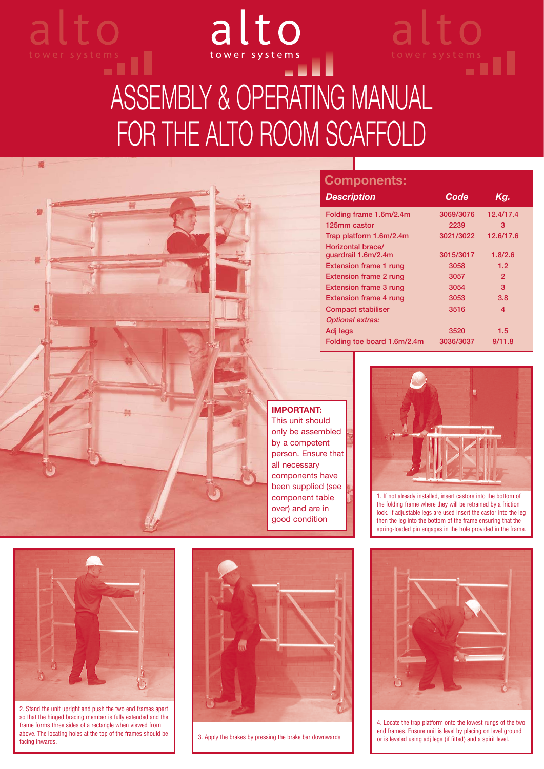# alto wer systems<br> **Explorer** ASSEMBLY & OPERATING MANUAL FOR THE ALTO ROOM SCAFFOLD

**Components:**

**Horizontal brace/**

**Optional extras:**

*Description Code Kg.* **Folding frame 1.6m/2.4m 3069/3076 12.4/17.4 125mm castor 2239 3 Trap platform 1.6m/2.4m 3021/3022 12.6/17.6**

alto

**guardrail 1.6m/2.4m 3015/3017 1.8/2.6 Extension frame 1 rung 3058 1.2 Extension frame 2 rung 3057** 2 **Extension frame 3 rung 3054 3054** 3 **Extension frame 4 rung 3053** 3.8 **Compact stabiliser 120 and 13516** 4

**Adj legs 3520 1.5 Folding toe board 1.6m/2.4m 3036/3037 9/11.8**



alto

**IMPORTANT:**  This unit should only be assembled by a competent person. Ensure that all necessary components have been supplied (see component table over) and are in good condition



1. If not already installed, insert castors into the bottom of the folding frame where they will be retrained by a friction lock. If adjustable legs are used insert the castor into the leg then the leg into the bottom of the frame ensuring that the spring-loaded pin engages in the hole provided in the frame.



2. Stand the unit upright and push the two end frames apart so that the hinged bracing member is fully extended and the frame forms three sides of a rectangle when viewed from above. The locating holes at the top of the frames should be above. The locating holes at the top of the frames should be **above** 3. Apply the brakes by pressing the brake bar downwards facing inwards.





4. Locate the trap platform onto the lowest rungs of the two end frames. Ensure unit is level by placing on level ground or is leveled using adj legs (if fitted) and a spirit level.